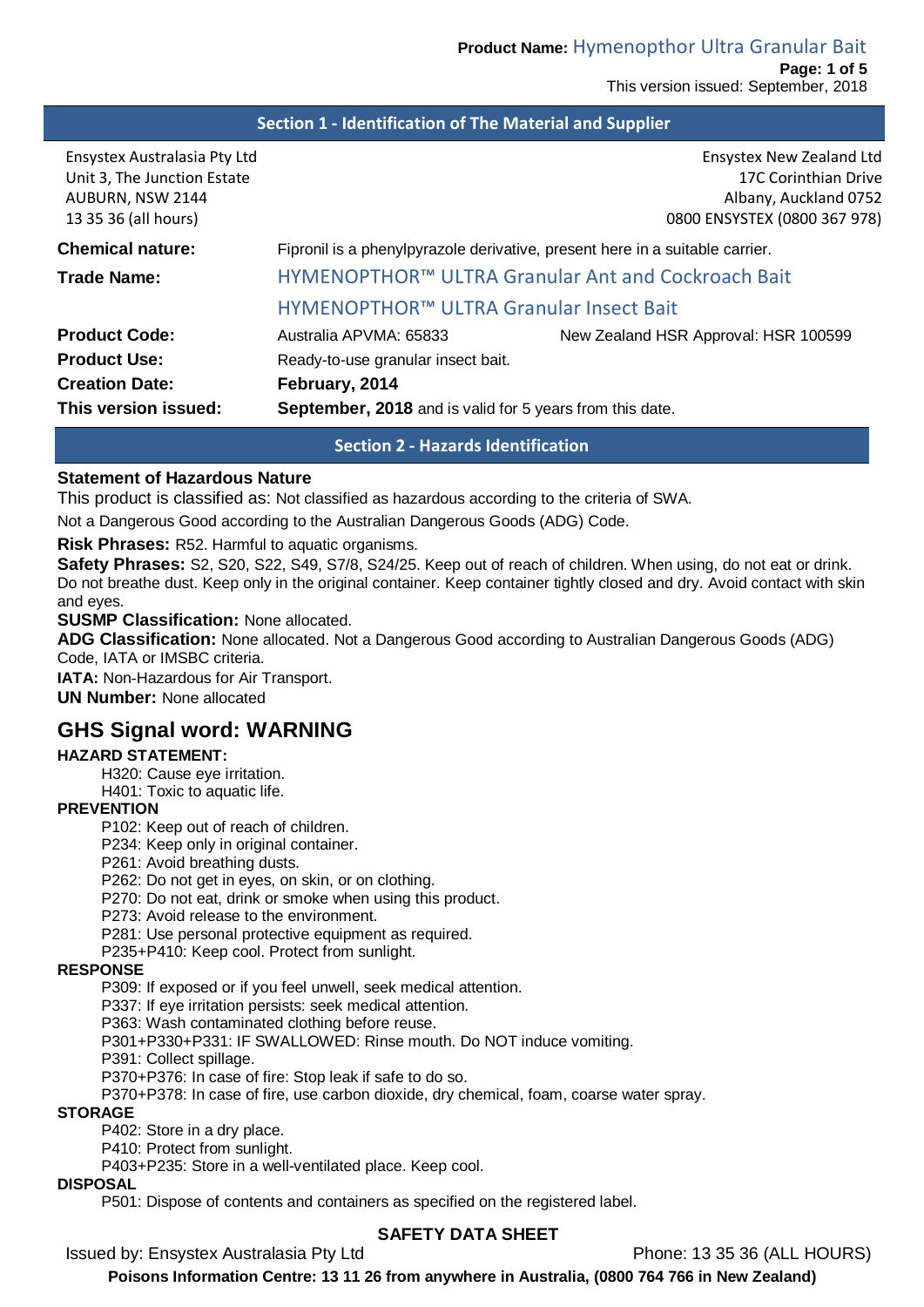#### **Section 1 - Identification of The Material and Supplier**

| Ensystex Australasia Pty Ltd<br>Unit 3, The Junction Estate<br>AUBURN, NSW 2144<br>13 35 36 (all hours) |                                                                              | <b>Ensystex New Zealand Ltd</b><br>17C Corinthian Drive<br>Albany, Auckland 0752<br>0800 ENSYSTEX (0800 367 978) |  |
|---------------------------------------------------------------------------------------------------------|------------------------------------------------------------------------------|------------------------------------------------------------------------------------------------------------------|--|
| <b>Chemical nature:</b>                                                                                 | Fipronil is a phenylpyrazole derivative, present here in a suitable carrier. |                                                                                                                  |  |
| Trade Name:                                                                                             |                                                                              | HYMENOPTHOR™ ULTRA Granular Ant and Cockroach Bait                                                               |  |
|                                                                                                         | HYMENOPTHOR™ ULTRA Granular Insect Bait                                      |                                                                                                                  |  |
| <b>Product Code:</b>                                                                                    | Australia APVMA: 65833                                                       | New Zealand HSR Approval: HSR 100599                                                                             |  |
| <b>Product Use:</b>                                                                                     | Ready-to-use granular insect bait.                                           |                                                                                                                  |  |
| <b>Creation Date:</b>                                                                                   | February, 2014                                                               |                                                                                                                  |  |
| This version issued:                                                                                    | September, 2018 and is valid for 5 years from this date.                     |                                                                                                                  |  |

**Section 2 - Hazards Identification**

#### **Statement of Hazardous Nature**

This product is classified as: Not classified as hazardous according to the criteria of SWA.

Not a Dangerous Good according to the Australian Dangerous Goods (ADG) Code.

#### **Risk Phrases:** R52. Harmful to aquatic organisms.

**Safety Phrases:** S2, S20, S22, S49, S7/8, S24/25. Keep out of reach of children. When using, do not eat or drink. Do not breathe dust. Keep only in the original container. Keep container tightly closed and dry. Avoid contact with skin and eyes.

**SUSMP Classification:** None allocated.

**ADG Classification:** None allocated. Not a Dangerous Good according to Australian Dangerous Goods (ADG) Code, IATA or IMSBC criteria.

**IATA: Non-Hazardous for Air Transport.** 

**UN Number:** None allocated

# **GHS Signal word: WARNING**

#### **HAZARD STATEMENT:**

H320: Cause eye irritation.

H401: Toxic to aquatic life.

#### **PREVENTION**

P102: Keep out of reach of children.

P234: Keep only in original container.

P261: Avoid breathing dusts.

P262: Do not get in eyes, on skin, or on clothing.

P270: Do not eat, drink or smoke when using this product.

P273: Avoid release to the environment.

P281: Use personal protective equipment as required.

P235+P410: Keep cool. Protect from sunlight.

#### **RESPONSE**

P309: If exposed or if you feel unwell, seek medical attention.

P337: If eye irritation persists: seek medical attention.

P363: Wash contaminated clothing before reuse.

P301+P330+P331: IF SWALLOWED: Rinse mouth. Do NOT induce vomiting.

P391: Collect spillage.

P370+P376: In case of fire: Stop leak if safe to do so.

P370+P378: In case of fire, use carbon dioxide, dry chemical, foam, coarse water spray.

### **STORAGE**

P402: Store in a dry place.

P410: Protect from sunlight.

P403+P235: Store in a well-ventilated place. Keep cool.

### **DISPOSAL**

P501: Dispose of contents and containers as specified on the registered label.

#### **SAFETY DATA SHEET**

Issued by: Ensystex Australasia Pty Ltd Phone: 13 35 36 (ALL HOURS)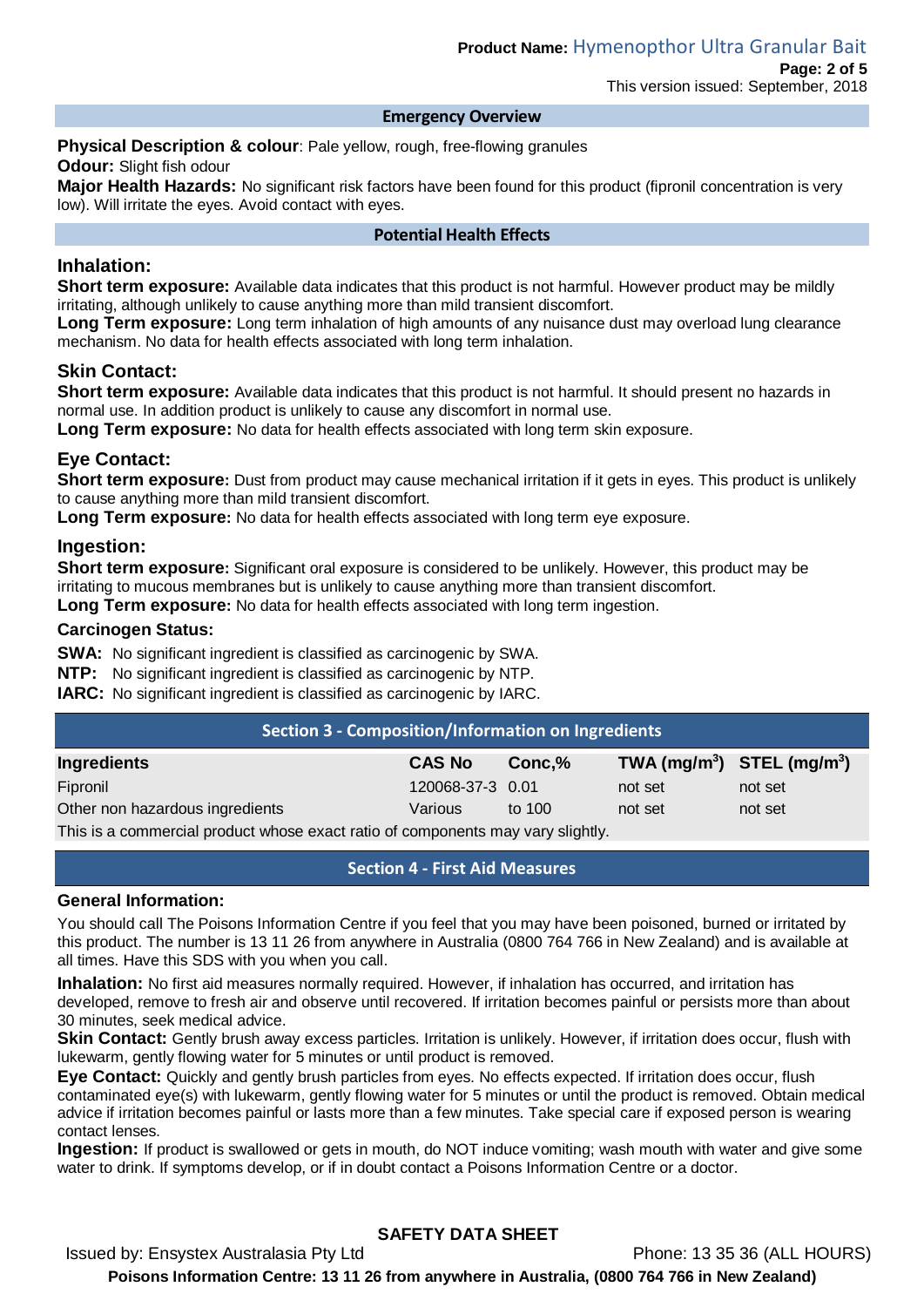#### **Emergency Overview**

**Physical Description & colour**: Pale yellow, rough, free-flowing granules **Odour:** Slight fish odour

**Major Health Hazards:** No significant risk factors have been found for this product (fipronil concentration is very low). Will irritate the eyes. Avoid contact with eyes.

#### **Potential Health Effects**

### **Inhalation:**

**Short term exposure:** Available data indicates that this product is not harmful. However product may be mildly irritating, although unlikely to cause anything more than mild transient discomfort.

Long Term exposure: Long term inhalation of high amounts of any nuisance dust may overload lung clearance mechanism. No data for health effects associated with long term inhalation.

### **Skin Contact:**

**Short term exposure:** Available data indicates that this product is not harmful. It should present no hazards in normal use. In addition product is unlikely to cause any discomfort in normal use.

**Long Term exposure:** No data for health effects associated with long term skin exposure.

### **Eye Contact:**

**Short term exposure:** Dust from product may cause mechanical irritation if it gets in eyes. This product is unlikely to cause anything more than mild transient discomfort.

**Long Term exposure:** No data for health effects associated with long term eye exposure.

### **Ingestion:**

**Short term exposure:** Significant oral exposure is considered to be unlikely. However, this product may be irritating to mucous membranes but is unlikely to cause anything more than transient discomfort.

**Long Term exposure:** No data for health effects associated with long term ingestion.

#### **Carcinogen Status:**

**SWA:** No significant ingredient is classified as carcinogenic by SWA.

**NTP:** No significant ingredient is classified as carcinogenic by NTP.

**IARC:** No significant ingredient is classified as carcinogenic by IARC.

| Section 3 - Composition/Information on Ingredients                                    |                  |        |         |                                |  |
|---------------------------------------------------------------------------------------|------------------|--------|---------|--------------------------------|--|
| <b>Ingredients</b>                                                                    | <b>CAS No</b>    | Conc.% |         | TWA $(mg/m^3)$ STEL $(mg/m^3)$ |  |
| Fipronil                                                                              | 120068-37-3 0.01 |        | not set | not set                        |  |
| Other non hazardous ingredients                                                       | Various          | to 100 | not set | not set                        |  |
| This is a separazed all product upper sugativations according to mourning the lightly |                  |        |         |                                |  |

This is a commercial product whose exact ratio of components may vary slightly.

#### **Section 4 - First Aid Measures**

#### **General Information:**

You should call The Poisons Information Centre if you feel that you may have been poisoned, burned or irritated by this product. The number is 13 11 26 from anywhere in Australia (0800 764 766 in New Zealand) and is available at all times. Have this SDS with you when you call.

**Inhalation:** No first aid measures normally required. However, if inhalation has occurred, and irritation has developed, remove to fresh air and observe until recovered. If irritation becomes painful or persists more than about 30 minutes, seek medical advice.

**Skin Contact:** Gently brush away excess particles. Irritation is unlikely. However, if irritation does occur, flush with lukewarm, gently flowing water for 5 minutes or until product is removed.

**Eye Contact:** Quickly and gently brush particles from eyes. No effects expected. If irritation does occur, flush contaminated eye(s) with lukewarm, gently flowing water for 5 minutes or until the product is removed. Obtain medical advice if irritation becomes painful or lasts more than a few minutes. Take special care if exposed person is wearing contact lenses.

**Ingestion:** If product is swallowed or gets in mouth, do NOT induce vomiting; wash mouth with water and give some water to drink. If symptoms develop, or if in doubt contact a Poisons Information Centre or a doctor.

# **SAFETY DATA SHEET**

Issued by: Ensystex Australasia Pty Ltd Phone: 13 35 36 (ALL HOURS)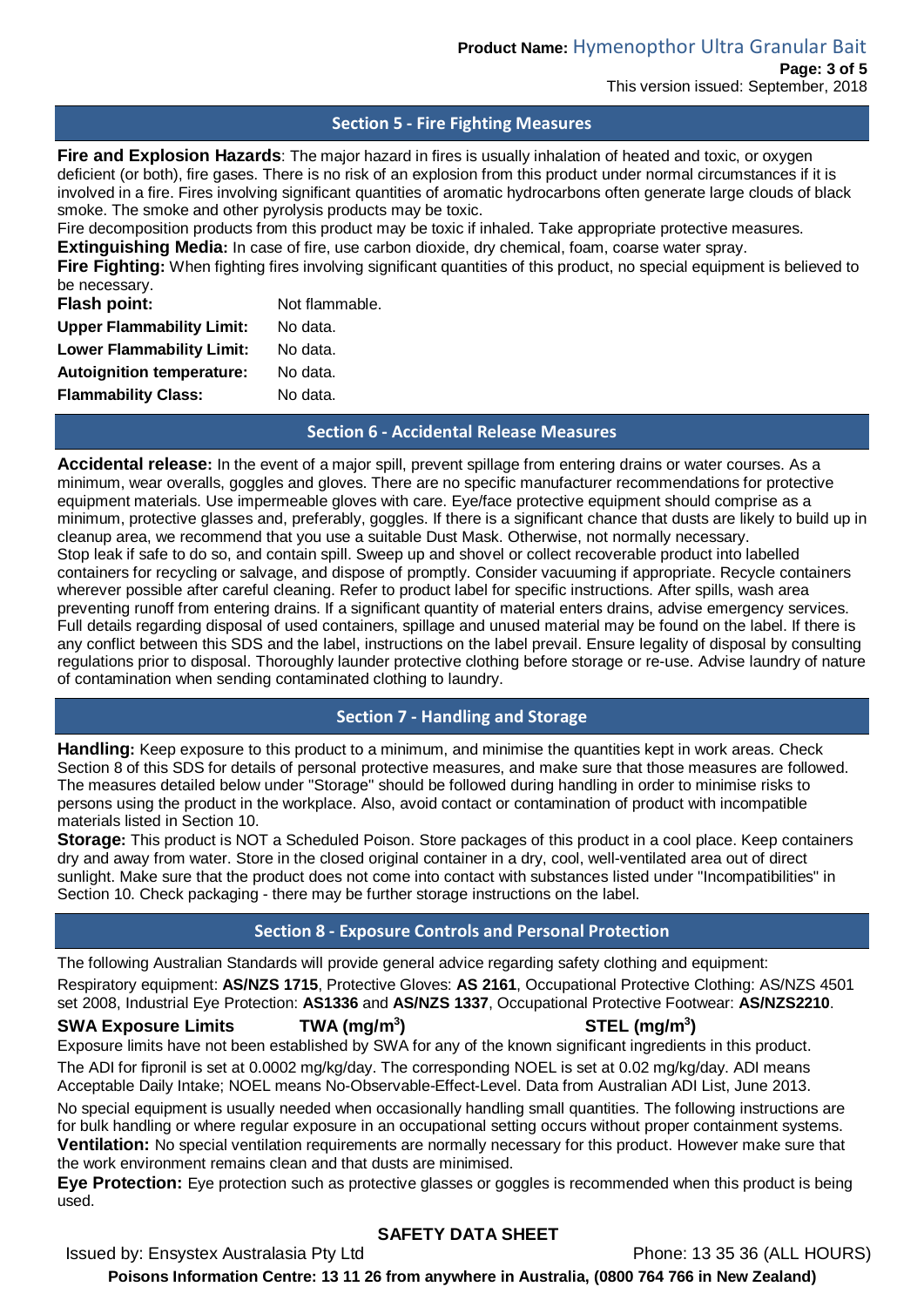#### **Section 5 - Fire Fighting Measures**

**Fire and Explosion Hazards**: The major hazard in fires is usually inhalation of heated and toxic, or oxygen deficient (or both), fire gases. There is no risk of an explosion from this product under normal circumstances if it is involved in a fire. Fires involving significant quantities of aromatic hydrocarbons often generate large clouds of black smoke. The smoke and other pyrolysis products may be toxic.

Fire decomposition products from this product may be toxic if inhaled. Take appropriate protective measures.

**Extinguishing Media:** In case of fire, use carbon dioxide, dry chemical, foam, coarse water spray.

Fire Fighting: When fighting fires involving significant quantities of this product, no special equipment is believed to be necessary.

| Flash point:                     | Not flammable. |
|----------------------------------|----------------|
| <b>Upper Flammability Limit:</b> | No data.       |
| <b>Lower Flammability Limit:</b> | No data.       |
| <b>Autoignition temperature:</b> | No data.       |
| <b>Flammability Class:</b>       | No data.       |

#### **Section 6 - Accidental Release Measures**

**Accidental release:** In the event of a major spill, prevent spillage from entering drains or water courses. As a minimum, wear overalls, goggles and gloves. There are no specific manufacturer recommendations for protective equipment materials. Use impermeable gloves with care. Eye/face protective equipment should comprise as a minimum, protective glasses and, preferably, goggles. If there is a significant chance that dusts are likely to build up in cleanup area, we recommend that you use a suitable Dust Mask. Otherwise, not normally necessary. Stop leak if safe to do so, and contain spill. Sweep up and shovel or collect recoverable product into labelled containers for recycling or salvage, and dispose of promptly. Consider vacuuming if appropriate. Recycle containers wherever possible after careful cleaning. Refer to product label for specific instructions. After spills, wash area preventing runoff from entering drains. If a significant quantity of material enters drains, advise emergency services. Full details regarding disposal of used containers, spillage and unused material may be found on the label. If there is any conflict between this SDS and the label, instructions on the label prevail. Ensure legality of disposal by consulting regulations prior to disposal. Thoroughly launder protective clothing before storage or re-use. Advise laundry of nature of contamination when sending contaminated clothing to laundry.

### **Section 7 - Handling and Storage**

**Handling:** Keep exposure to this product to a minimum, and minimise the quantities kept in work areas. Check Section 8 of this SDS for details of personal protective measures, and make sure that those measures are followed. The measures detailed below under "Storage" should be followed during handling in order to minimise risks to persons using the product in the workplace. Also, avoid contact or contamination of product with incompatible materials listed in Section 10.

**Storage:** This product is NOT a Scheduled Poison. Store packages of this product in a cool place. Keep containers dry and away from water. Store in the closed original container in a dry, cool, well-ventilated area out of direct sunlight. Make sure that the product does not come into contact with substances listed under "Incompatibilities" in Section 10. Check packaging - there may be further storage instructions on the label.

### **Section 8 - Exposure Controls and Personal Protection**

The following Australian Standards will provide general advice regarding safety clothing and equipment: Respiratory equipment: **AS/NZS 1715**, Protective Gloves: **AS 2161**, Occupational Protective Clothing: AS/NZS 4501 set 2008, Industrial Eye Protection: **AS1336** and **AS/NZS 1337**, Occupational Protective Footwear: **AS/NZS2210**.

## **SWA Exposure Limits TWA (mg/m3**

# **) STEL (mg/m3 )**

Exposure limits have not been established by SWA for any of the known significant ingredients in this product. The ADI for fipronil is set at 0.0002 mg/kg/day. The corresponding NOEL is set at 0.02 mg/kg/day. ADI means Acceptable Daily Intake; NOEL means No-Observable-Effect-Level. Data from Australian ADI List, June 2013.

No special equipment is usually needed when occasionally handling small quantities. The following instructions are for bulk handling or where regular exposure in an occupational setting occurs without proper containment systems. **Ventilation:** No special ventilation requirements are normally necessary for this product. However make sure that the work environment remains clean and that dusts are minimised.

**Eye Protection:** Eye protection such as protective glasses or goggles is recommended when this product is being used.

### **SAFETY DATA SHEET**

Issued by: Ensystex Australasia Pty Ltd Phone: 13 35 36 (ALL HOURS)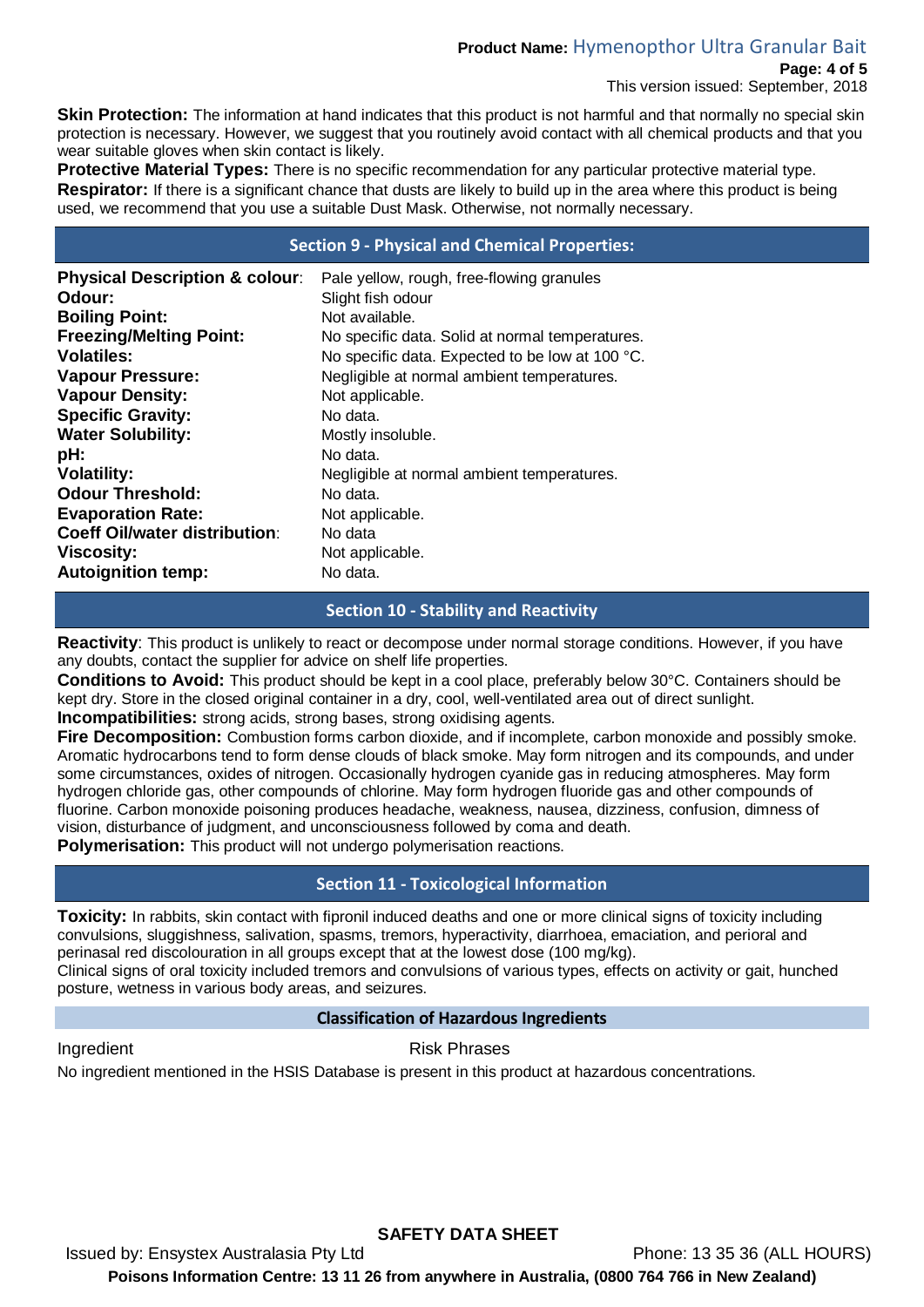# **Product Name:** Hymenopthor Ultra Granular Bait

#### **Page: 4 of 5**

This version issued: September, 2018

**Skin Protection:** The information at hand indicates that this product is not harmful and that normally no special skin protection is necessary. However, we suggest that you routinely avoid contact with all chemical products and that you wear suitable gloves when skin contact is likely.

**Protective Material Types:** There is no specific recommendation for any particular protective material type. **Respirator:** If there is a significant chance that dusts are likely to build up in the area where this product is being used, we recommend that you use a suitable Dust Mask. Otherwise, not normally necessary.

### **Section 9 - Physical and Chemical Properties:**

| <b>Physical Description &amp; colour:</b> | Pale yellow, rough, free-flowing granules       |
|-------------------------------------------|-------------------------------------------------|
| Odour:                                    | Slight fish odour                               |
| <b>Boiling Point:</b>                     | Not available.                                  |
| <b>Freezing/Melting Point:</b>            | No specific data. Solid at normal temperatures. |
| Volatiles:                                | No specific data. Expected to be low at 100 °C. |
| <b>Vapour Pressure:</b>                   | Negligible at normal ambient temperatures.      |
| <b>Vapour Density:</b>                    | Not applicable.                                 |
| <b>Specific Gravity:</b>                  | No data.                                        |
| <b>Water Solubility:</b>                  | Mostly insoluble.                               |
| pH:                                       | No data.                                        |
| <b>Volatility:</b>                        | Negligible at normal ambient temperatures.      |
| <b>Odour Threshold:</b>                   | No data.                                        |
| <b>Evaporation Rate:</b>                  | Not applicable.                                 |
| <b>Coeff Oil/water distribution:</b>      | No data                                         |
| <b>Viscosity:</b>                         | Not applicable.                                 |
| <b>Autoignition temp:</b>                 | No data.                                        |

### **Section 10 - Stability and Reactivity**

**Reactivity**: This product is unlikely to react or decompose under normal storage conditions. However, if you have any doubts, contact the supplier for advice on shelf life properties.

**Conditions to Avoid:** This product should be kept in a cool place, preferably below 30°C. Containers should be kept dry. Store in the closed original container in a dry, cool, well-ventilated area out of direct sunlight.

**Incompatibilities:** strong acids, strong bases, strong oxidising agents.

**Fire Decomposition:** Combustion forms carbon dioxide, and if incomplete, carbon monoxide and possibly smoke. Aromatic hydrocarbons tend to form dense clouds of black smoke. May form nitrogen and its compounds, and under some circumstances, oxides of nitrogen. Occasionally hydrogen cyanide gas in reducing atmospheres. May form hydrogen chloride gas, other compounds of chlorine. May form hydrogen fluoride gas and other compounds of fluorine. Carbon monoxide poisoning produces headache, weakness, nausea, dizziness, confusion, dimness of vision, disturbance of judgment, and unconsciousness followed by coma and death.

**Polymerisation:** This product will not undergo polymerisation reactions.

### **Section 11 - Toxicological Information**

**Toxicity:** In rabbits, skin contact with fipronil induced deaths and one or more clinical signs of toxicity including convulsions, sluggishness, salivation, spasms, tremors, hyperactivity, diarrhoea, emaciation, and perioral and perinasal red discolouration in all groups except that at the lowest dose (100 mg/kg).

Clinical signs of oral toxicity included tremors and convulsions of various types, effects on activity or gait, hunched posture, wetness in various body areas, and seizures.

#### **Classification of Hazardous Ingredients**

Ingredient **Risk Phrases** 

No ingredient mentioned in the HSIS Database is present in this product at hazardous concentrations.

**SAFETY DATA SHEET** Issued by: Ensystex Australasia Pty Ltd Phone: 13 35 36 (ALL HOURS) **Poisons Information Centre: 13 11 26 from anywhere in Australia, (0800 764 766 in New Zealand)**